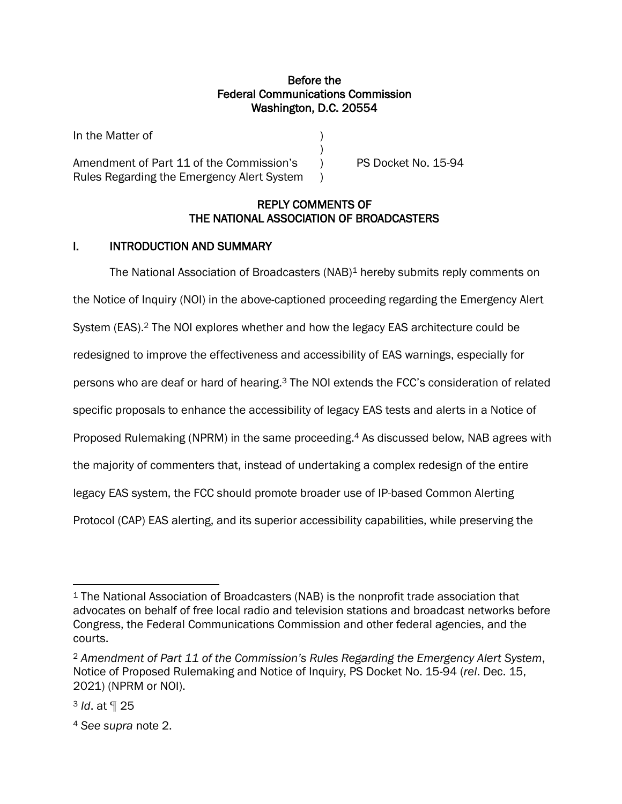## Before the Federal Communications Commission Washington, D.C. 20554

)

In the Matter of )

Amendment of Part 11 of the Commission's (a) PS Docket No. 15-94 Rules Regarding the Emergency Alert System )

## REPLY COMMENTS OF THE NATIONAL ASSOCIATION OF BROADCASTERS

# I. INTRODUCTION AND SUMMARY

The National Association of Broadcasters (NAB)<sup>1</sup> hereby submits reply comments on the Notice of Inquiry (NOI) in the above-captioned proceeding regarding the Emergency Alert System (EAS).<sup>2</sup> The NOI explores whether and how the legacy EAS architecture could be redesigned to improve the effectiveness and accessibility of EAS warnings, especially for persons who are deaf or hard of hearing.<sup>3</sup> The NOI extends the FCC's consideration of related specific proposals to enhance the accessibility of legacy EAS tests and alerts in a Notice of Proposed Rulemaking (NPRM) in the same proceeding. <sup>4</sup> As discussed below, NAB agrees with the majority of commenters that, instead of undertaking a complex redesign of the entire legacy EAS system, the FCC should promote broader use of IP-based Common Alerting Protocol (CAP) EAS alerting, and its superior accessibility capabilities, while preserving the

<sup>1</sup> The National Association of Broadcasters (NAB) is the nonprofit trade association that advocates on behalf of free local radio and television stations and broadcast networks before Congress, the Federal Communications Commission and other federal agencies, and the courts.

<sup>2</sup> *Amendment of Part 11 of the Commission's Rules Regarding the Emergency Alert System*, Notice of Proposed Rulemaking and Notice of Inquiry, PS Docket No. 15-94 (*rel*. Dec. 15, 2021) (NPRM or NOI).

<sup>3</sup> *Id*. at ¶ 25

<sup>4</sup> *See supra* note 2.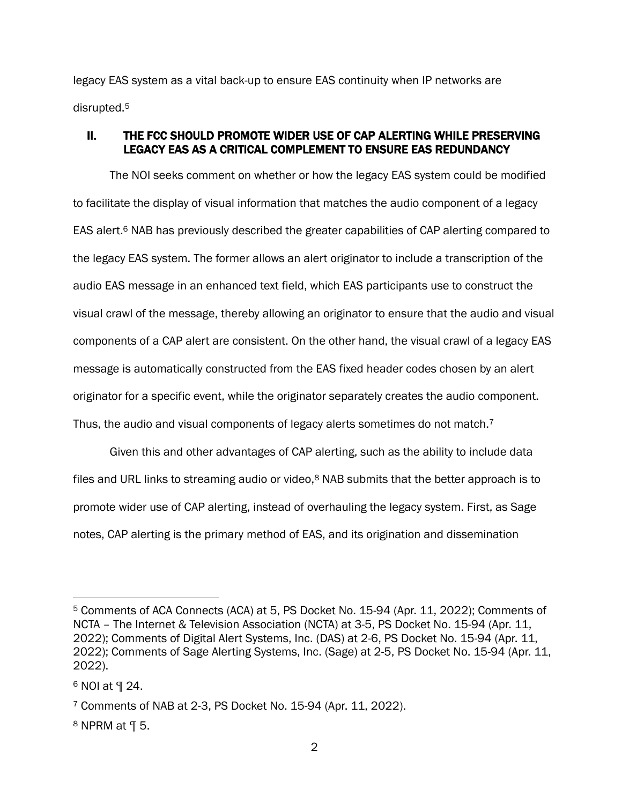legacy EAS system as a vital back-up to ensure EAS continuity when IP networks are disrupted. 5

### II. THE FCC SHOULD PROMOTE WIDER USE OF CAP ALERTING WHILE PRESERVING LEGACY EAS AS A CRITICAL COMPLEMENT TO ENSURE EAS REDUNDANCY

The NOI seeks comment on whether or how the legacy EAS system could be modified to facilitate the display of visual information that matches the audio component of a legacy EAS alert.<sup>6</sup> NAB has previously described the greater capabilities of CAP alerting compared to the legacy EAS system. The former allows an alert originator to include a transcription of the audio EAS message in an enhanced text field, which EAS participants use to construct the visual crawl of the message, thereby allowing an originator to ensure that the audio and visual components of a CAP alert are consistent. On the other hand, the visual crawl of a legacy EAS message is automatically constructed from the EAS fixed header codes chosen by an alert originator for a specific event, while the originator separately creates the audio component. Thus, the audio and visual components of legacy alerts sometimes do not match.<sup>7</sup>

Given this and other advantages of CAP alerting, such as the ability to include data files and URL links to streaming audio or video,<sup>8</sup> NAB submits that the better approach is to promote wider use of CAP alerting, instead of overhauling the legacy system. First, as Sage notes, CAP alerting is the primary method of EAS, and its origination and dissemination

<sup>5</sup> Comments of ACA Connects (ACA) at 5, PS Docket No. 15-94 (Apr. 11, 2022); Comments of NCTA – The Internet & Television Association (NCTA) at 3-5, PS Docket No. 15-94 (Apr. 11, 2022); Comments of Digital Alert Systems, Inc. (DAS) at 2-6, PS Docket No. 15-94 (Apr. 11, 2022); Comments of Sage Alerting Systems, Inc. (Sage) at 2-5, PS Docket No. 15-94 (Apr. 11, 2022).

<sup>6</sup> NOI at ¶ 24.

<sup>7</sup> Comments of NAB at 2-3, PS Docket No. 15-94 (Apr. 11, 2022).

<sup>8</sup> NPRM at ¶ 5.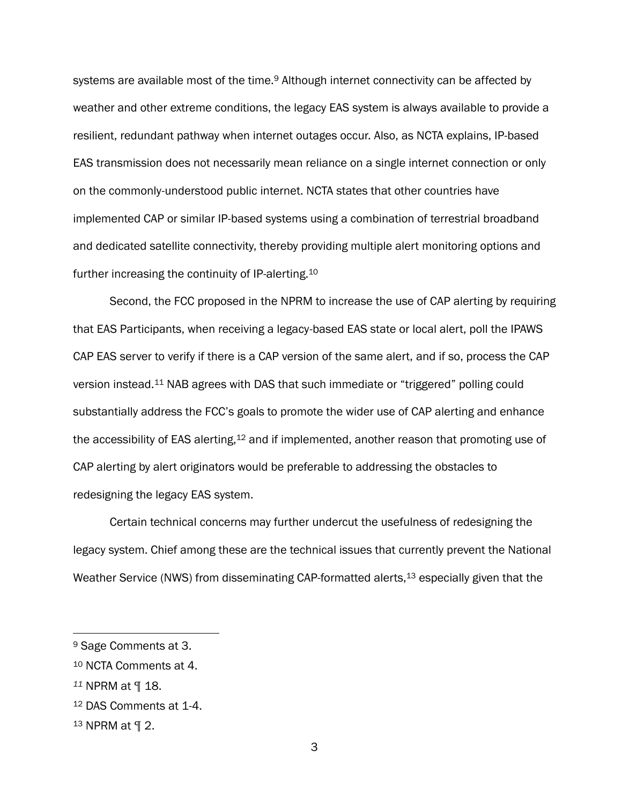systems are available most of the time.<sup>9</sup> Although internet connectivity can be affected by weather and other extreme conditions, the legacy EAS system is always available to provide a resilient, redundant pathway when internet outages occur. Also, as NCTA explains, IP-based EAS transmission does not necessarily mean reliance on a single internet connection or only on the commonly-understood public internet. NCTA states that other countries have implemented CAP or similar IP-based systems using a combination of terrestrial broadband and dedicated satellite connectivity, thereby providing multiple alert monitoring options and further increasing the continuity of IP-alerting.<sup>10</sup>

Second, the FCC proposed in the NPRM to increase the use of CAP alerting by requiring that EAS Participants, when receiving a legacy-based EAS state or local alert, poll the IPAWS CAP EAS server to verify if there is a CAP version of the same alert, and if so, process the CAP version instead.<sup>11</sup> NAB agrees with DAS that such immediate or "triggered" polling could substantially address the FCC's goals to promote the wider use of CAP alerting and enhance the accessibility of EAS alerting,<sup>12</sup> and if implemented, another reason that promoting use of CAP alerting by alert originators would be preferable to addressing the obstacles to redesigning the legacy EAS system.

Certain technical concerns may further undercut the usefulness of redesigning the legacy system. Chief among these are the technical issues that currently prevent the National Weather Service (NWS) from disseminating CAP-formatted alerts,<sup>13</sup> especially given that the

<sup>9</sup> Sage Comments at 3.

<sup>10</sup> NCTA Comments at 4.

*<sup>11</sup>* NPRM at ¶ 18.

<sup>12</sup> DAS Comments at 1-4.

<sup>13</sup> NPRM at ¶ 2.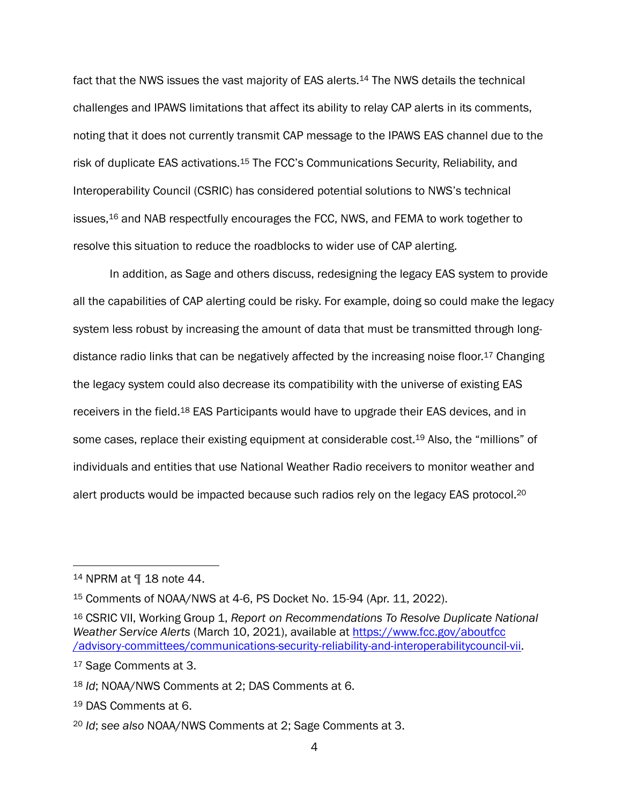fact that the NWS issues the vast majority of EAS alerts.<sup>14</sup> The NWS details the technical challenges and IPAWS limitations that affect its ability to relay CAP alerts in its comments, noting that it does not currently transmit CAP message to the IPAWS EAS channel due to the risk of duplicate EAS activations.<sup>15</sup> The FCC's Communications Security, Reliability, and Interoperability Council (CSRIC) has considered potential solutions to NWS's technical issues,<sup>16</sup> and NAB respectfully encourages the FCC, NWS, and FEMA to work together to resolve this situation to reduce the roadblocks to wider use of CAP alerting.

In addition, as Sage and others discuss, redesigning the legacy EAS system to provide all the capabilities of CAP alerting could be risky. For example, doing so could make the legacy system less robust by increasing the amount of data that must be transmitted through longdistance radio links that can be negatively affected by the increasing noise floor.<sup>17</sup> Changing the legacy system could also decrease its compatibility with the universe of existing EAS receivers in the field.<sup>18</sup> EAS Participants would have to upgrade their EAS devices, and in some cases, replace their existing equipment at considerable cost.<sup>19</sup> Also, the "millions" of individuals and entities that use National Weather Radio receivers to monitor weather and alert products would be impacted because such radios rely on the legacy EAS protocol.<sup>20</sup>

<sup>14</sup> NPRM at ¶ 18 note 44.

<sup>15</sup> Comments of NOAA/NWS at 4-6, PS Docket No. 15-94 (Apr. 11, 2022).

<sup>16</sup> CSRIC VII, Working Group 1, *Report on Recommendations To Resolve Duplicate National Weather Service Alerts* (March 10, 2021), available at [https://www.fcc.gov/aboutfcc](https://www.fcc.gov/aboutfcc%20/advisory-committees/communications-security-reliability-and-interoperabilitycouncil-vii)  [/advisory-committees/communications-security-reliability-and-interoperabilitycouncil-vii.](https://www.fcc.gov/aboutfcc%20/advisory-committees/communications-security-reliability-and-interoperabilitycouncil-vii)

<sup>17</sup> Sage Comments at 3.

<sup>18</sup> *Id*; NOAA/NWS Comments at 2; DAS Comments at 6.

<sup>19</sup> DAS Comments at 6.

<sup>20</sup> *Id*; *see also* NOAA/NWS Comments at 2; Sage Comments at 3.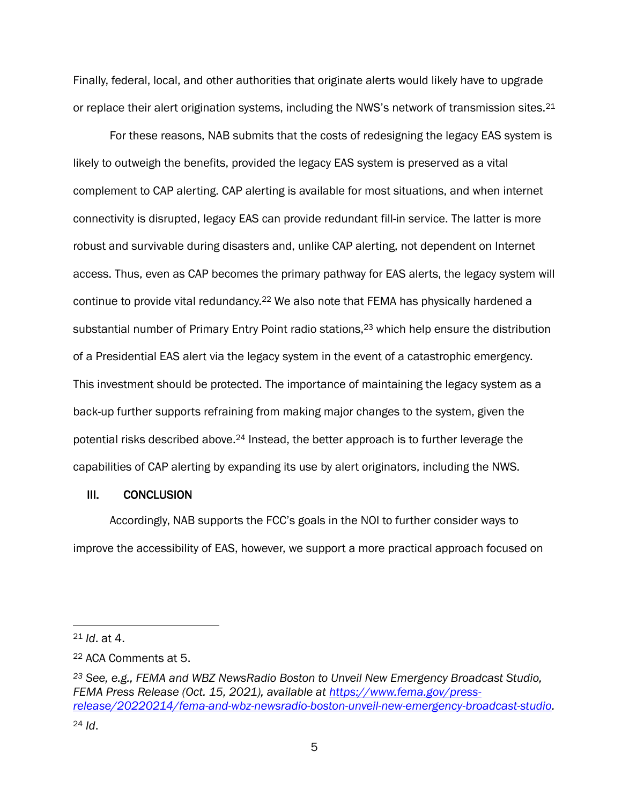Finally, federal, local, and other authorities that originate alerts would likely have to upgrade or replace their alert origination systems, including the NWS's network of transmission sites.<sup>21</sup>

For these reasons, NAB submits that the costs of redesigning the legacy EAS system is likely to outweigh the benefits, provided the legacy EAS system is preserved as a vital complement to CAP alerting. CAP alerting is available for most situations, and when internet connectivity is disrupted, legacy EAS can provide redundant fill-in service. The latter is more robust and survivable during disasters and, unlike CAP alerting, not dependent on Internet access. Thus, even as CAP becomes the primary pathway for EAS alerts, the legacy system will continue to provide vital redundancy.<sup>22</sup> We also note that FEMA has physically hardened a substantial number of Primary Entry Point radio stations,<sup>23</sup> which help ensure the distribution of a Presidential EAS alert via the legacy system in the event of a catastrophic emergency. This investment should be protected. The importance of maintaining the legacy system as a back-up further supports refraining from making major changes to the system, given the potential risks described above.<sup>24</sup> Instead, the better approach is to further leverage the capabilities of CAP alerting by expanding its use by alert originators, including the NWS.

#### III. CONCLUSION

Accordingly, NAB supports the FCC's goals in the NOI to further consider ways to improve the accessibility of EAS, however, we support a more practical approach focused on

<sup>21</sup> *Id*. at 4.

<sup>22</sup> ACA Comments at 5.

*<sup>23</sup> See, e.g., FEMA and WBZ NewsRadio Boston to Unveil New Emergency Broadcast Studio, FEMA Press Release (Oct. 15, 2021), available at [https://www.fema.gov/press](https://www.fema.gov/press-release/20220214/fema-and-wbz-newsradio-boston-unveil-new-emergency-broadcast-studio)[release/20220214/fema-and-wbz-newsradio-boston-unveil-new-emergency-broadcast-studio.](https://www.fema.gov/press-release/20220214/fema-and-wbz-newsradio-boston-unveil-new-emergency-broadcast-studio)*  <sup>24</sup> *Id*.